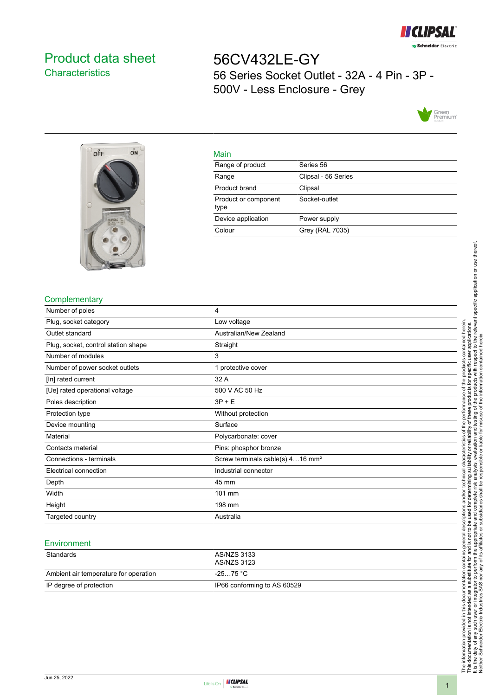

# <span id="page-0-0"></span>Product data sheet **Characteristics**

56CV432LE-GY 56 Series Socket Outlet - 32A - 4 Pin - 3P - 500V - Less Enclosure - Grey





#### Main

| .                            |                     |
|------------------------------|---------------------|
| Range of product             | Series 56           |
| Range                        | Clipsal - 56 Series |
| Product brand                | Clipsal             |
| Product or component<br>type | Socket-outlet       |
| Device application           | Power supply        |
| Colour                       | Grey (RAL 7035)     |

### **Complementary**

| Number of poles                     | 4                                            |
|-------------------------------------|----------------------------------------------|
| Plug, socket category               | Low voltage                                  |
| Outlet standard                     | Australian/New Zealand                       |
| Plug, socket, control station shape | Straight                                     |
| Number of modules                   | 3                                            |
| Number of power socket outlets      | 1 protective cover                           |
| [In] rated current                  | 32 A                                         |
| [Ue] rated operational voltage      | 500 V AC 50 Hz                               |
| Poles description                   | $3P + E$                                     |
| Protection type                     | Without protection                           |
| Device mounting                     | Surface                                      |
| Material                            | Polycarbonate: cover                         |
| Contacts material                   | Pins: phosphor bronze                        |
| Connections - terminals             | Screw terminals cable(s) 416 mm <sup>2</sup> |
| Electrical connection               | Industrial connector                         |
| Depth                               | 45 mm                                        |
| Width                               | 101 mm                                       |
| Height                              | 198 mm                                       |
| Targeted country                    | Australia                                    |

#### **Environment**

| Standards                             | AS/NZS 3133<br>AS/NZS 3123  |
|---------------------------------------|-----------------------------|
| Ambient air temperature for operation | -25…75 °C                   |
| IP degree of protection               | IP66 conforming to AS 60529 |